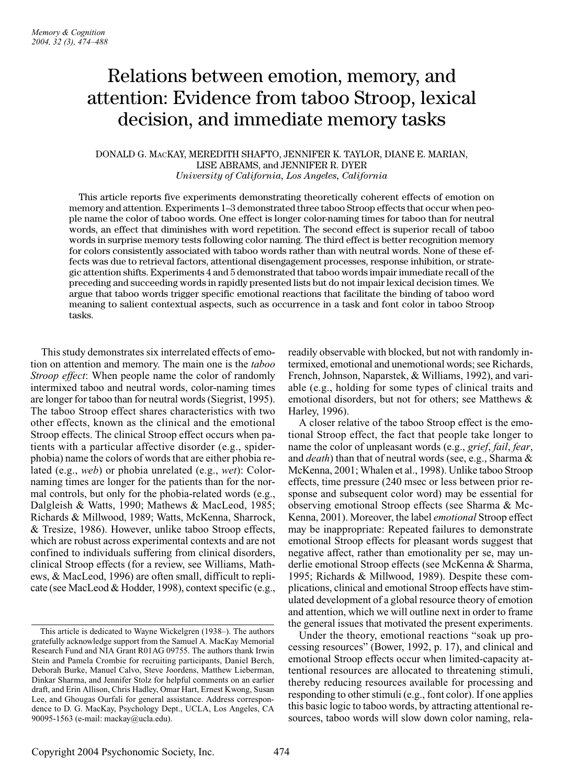# Relations between emotion, memory, and attention: Evidence from taboo Stroop, lexical decision, and immediate memory tasks

### DONALD G. MACKAY, MEREDITH SHAFTO, JENNIFER K. TAYLOR, DIANE E. MARIAN, LISE ABRAMS, and JENNIFER R. DYER *University of California, Los Angeles, California*

This article reports five experiments demonstrating theoretically coherent effects of emotion on memory and attention. Experiments 1–3 demonstrated three taboo Stroop effects that occur when people name the color of taboo words. One effect is longer color-naming times for taboo than for neutral words, an effect that diminishes with word repetition. The second effect is superior recall of taboo words in surprise memory tests following color naming. The third effect is better recognition memory for colors consistently associated with taboo words rather than with neutral words. None of these effects was due to retrieval factors, attentional disengagement processes, response inhibition, or strategic attention shifts. Experiments 4 and 5 demonstrated that taboo words impair immediate recall of the preceding and succeeding words in rapidly presented lists but do not impair lexical decision times. We argue that taboo words trigger specific emotional reactions that facilitate the binding of taboo word meaning to salient contextual aspects, such as occurrence in a task and font color in taboo Stroop tasks.

This study demonstrates six interrelated effects of emotion on attention and memory. The main one is the *taboo Stroop effect*: When people name the color of randomly intermixed taboo and neutral words, color-naming times are longer for taboo than for neutral words (Siegrist, 1995). The taboo Stroop effect shares characteristics with two other effects, known as the clinical and the emotional Stroop effects. The clinical Stroop effect occurs when patients with a particular affective disorder (e.g., spiderphobia) name the colors of words that are either phobia related (e.g., *web*) or phobia unrelated (e.g., *wet*): Colornaming times are longer for the patients than for the normal controls, but only for the phobia-related words (e.g., Dalgleish & Watts, 1990; Mathews & MacLeod, 1985; Richards & Millwood, 1989; Watts, McKenna, Sharrock, & Tresize, 1986). However, unlike taboo Stroop effects, which are robust across experimental contexts and are not confined to individuals suffering from clinical disorders, clinical Stroop effects (for a review, see Williams, Mathews, & MacLeod, 1996) are often small, difficult to replicate (see MacLeod & Hodder, 1998), context specific (e.g., readily observable with blocked, but not with randomly intermixed, emotional and unemotional words; see Richards, French, Johnson, Naparstek, & Williams, 1992), and variable (e.g., holding for some types of clinical traits and emotional disorders, but not for others; see Matthews & Harley, 1996).

A closer relative of the taboo Stroop effect is the emotional Stroop effect, the fact that people take longer to name the color of unpleasant words (e.g., *grief*, *fail*, *fear*, and *death*) than that of neutral words (see, e.g., Sharma & McKenna, 2001; Whalen et al., 1998). Unlike taboo Stroop effects, time pressure (240 msec or less between prior response and subsequent color word) may be essential for observing emotional Stroop effects (see Sharma & Mc-Kenna, 2001). Moreover, the label *emotional* Stroop effect may be inappropriate: Repeated failures to demonstrate emotional Stroop effects for pleasant words suggest that negative affect, rather than emotionality per se, may underlie emotional Stroop effects (see McKenna & Sharma, 1995; Richards & Millwood, 1989). Despite these complications, clinical and emotional Stroop effects have stimulated development of a global resource theory of emotion and attention, which we will outline next in order to frame the general issues that motivated the present experiments.

Under the theory, emotional reactions "soak up processing resources" (Bower, 1992, p. 17), and clinical and emotional Stroop effects occur when limited-capacity attentional resources are allocated to threatening stimuli, thereby reducing resources available for processing and responding to other stimuli (e.g., font color). If one applies this basic logic to taboo words, by attracting attentional resources, taboo words will slow down color naming, rela-

This article is dedicated to Wayne Wickelgren (1938–). The authors gratefully acknowledge support from the Samuel A. MacKay Memorial Research Fund and NIA Grant R01AG 09755. The authors thank Irwin Stein and Pamela Crombie for recruiting participants, Daniel Berch, Deborah Burke, Manuel Calvo, Steve Joordens, Matthew Lieberman, Dinkar Sharma, and Jennifer Stolz for helpful comments on an earlier draft, and Erin Allison, Chris Hadley, Omar Hart, Ernest Kwong, Susan Lee, and Ghougas Ourfali for general assistance. Address correspondence to D. G. MacKay, Psychology Dept., UCLA, Los Angeles, CA 90095-1563 (e-mail: mackay@ucla.edu).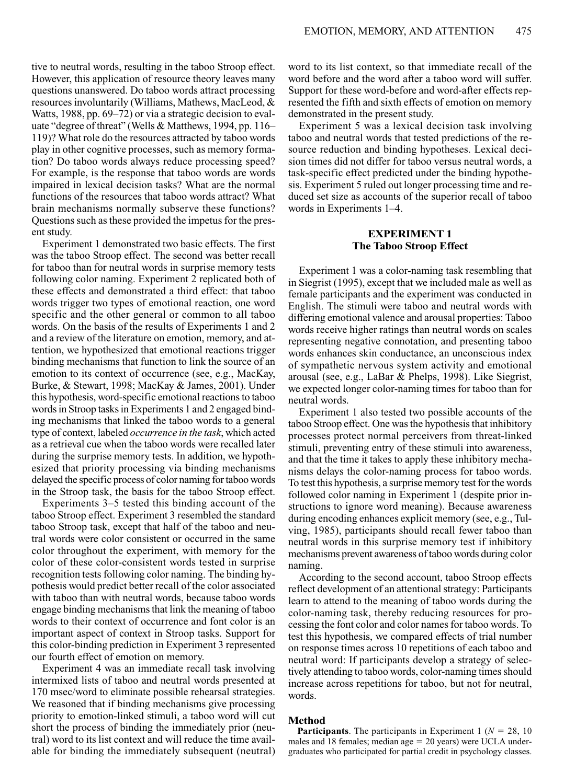tive to neutral words, resulting in the taboo Stroop effect. However, this application of resource theory leaves many questions unanswered. Do taboo words attract processing resources involuntarily (Williams, Mathews, MacLeod, & Watts, 1988, pp. 69–72) or via a strategic decision to evaluate "degree of threat" (Wells & Matthews, 1994, pp. 116– 119)? What role do the resources attracted by taboo words play in other cognitive processes, such as memory formation? Do taboo words always reduce processing speed? For example, is the response that taboo words are words impaired in lexical decision tasks? What are the normal functions of the resources that taboo words attract? What brain mechanisms normally subserve these functions? Questions such as these provided the impetus for the present study.

Experiment 1 demonstrated two basic effects. The first was the taboo Stroop effect. The second was better recall for taboo than for neutral words in surprise memory tests following color naming. Experiment 2 replicated both of these effects and demonstrated a third effect: that taboo words trigger two types of emotional reaction, one word specific and the other general or common to all taboo words. On the basis of the results of Experiments 1 and 2 and a review of the literature on emotion, memory, and attention, we hypothesized that emotional reactions trigger binding mechanisms that function to link the source of an emotion to its context of occurrence (see, e.g., MacKay, Burke, & Stewart, 1998; MacKay & James, 2001). Under this hypothesis, word-specific emotional reactions to taboo words in Stroop tasks in Experiments 1 and 2 engaged binding mechanisms that linked the taboo words to a general type of context, labeled *occurrence in the task*, which acted as a retrieval cue when the taboo words were recalled later during the surprise memory tests. In addition, we hypothesized that priority processing via binding mechanisms delayed the specific process of color naming for taboo words in the Stroop task, the basis for the taboo Stroop effect.

Experiments 3–5 tested this binding account of the taboo Stroop effect. Experiment 3 resembled the standard taboo Stroop task, except that half of the taboo and neutral words were color consistent or occurred in the same color throughout the experiment, with memory for the color of these color-consistent words tested in surprise recognition tests following color naming. The binding hypothesis would predict better recall of the color associated with taboo than with neutral words, because taboo words engage binding mechanisms that link the meaning of taboo words to their context of occurrence and font color is an important aspect of context in Stroop tasks. Support for this color-binding prediction in Experiment 3 represented our fourth effect of emotion on memory.

Experiment 4 was an immediate recall task involving intermixed lists of taboo and neutral words presented at 170 msec/word to eliminate possible rehearsal strategies. We reasoned that if binding mechanisms give processing priority to emotion-linked stimuli, a taboo word will cut short the process of binding the immediately prior (neutral) word to its list context and will reduce the time available for binding the immediately subsequent (neutral) word to its list context, so that immediate recall of the word before and the word after a taboo word will suffer. Support for these word-before and word-after effects represented the fifth and sixth effects of emotion on memory demonstrated in the present study.

Experiment 5 was a lexical decision task involving taboo and neutral words that tested predictions of the resource reduction and binding hypotheses. Lexical decision times did not differ for taboo versus neutral words, a task-specific effect predicted under the binding hypothesis. Experiment 5 ruled out longer processing time and reduced set size as accounts of the superior recall of taboo words in Experiments 1–4.

## **EXPERIMENT 1 The Taboo Stroop Effect**

Experiment 1 was a color-naming task resembling that in Siegrist (1995), except that we included male as well as female participants and the experiment was conducted in English. The stimuli were taboo and neutral words with differing emotional valence and arousal properties: Taboo words receive higher ratings than neutral words on scales representing negative connotation, and presenting taboo words enhances skin conductance, an unconscious index of sympathetic nervous system activity and emotional arousal (see, e.g., LaBar & Phelps, 1998). Like Siegrist, we expected longer color-naming times for taboo than for neutral words.

Experiment 1 also tested two possible accounts of the taboo Stroop effect. One was the hypothesis that inhibitory processes protect normal perceivers from threat-linked stimuli, preventing entry of these stimuli into awareness, and that the time it takes to apply these inhibitory mechanisms delays the color-naming process for taboo words. To test this hypothesis, a surprise memory test for the words followed color naming in Experiment 1 (despite prior instructions to ignore word meaning). Because awareness during encoding enhances explicit memory (see, e.g., Tulving, 1985), participants should recall fewer taboo than neutral words in this surprise memory test if inhibitory mechanisms prevent awareness of taboo words during color naming.

According to the second account, taboo Stroop effects reflect development of an attentional strategy: Participants learn to attend to the meaning of taboo words during the color-naming task, thereby reducing resources for processing the font color and color names for taboo words. To test this hypothesis, we compared effects of trial number on response times across 10 repetitions of each taboo and neutral word: If participants develop a strategy of selectively attending to taboo words, color-naming times should increase across repetitions for taboo, but not for neutral, words.

#### **Method**

**Participants**. The participants in Experiment 1 ( $N = 28, 10$ ) males and 18 females; median age  $= 20$  years) were UCLA undergraduates who participated for partial credit in psychology classes.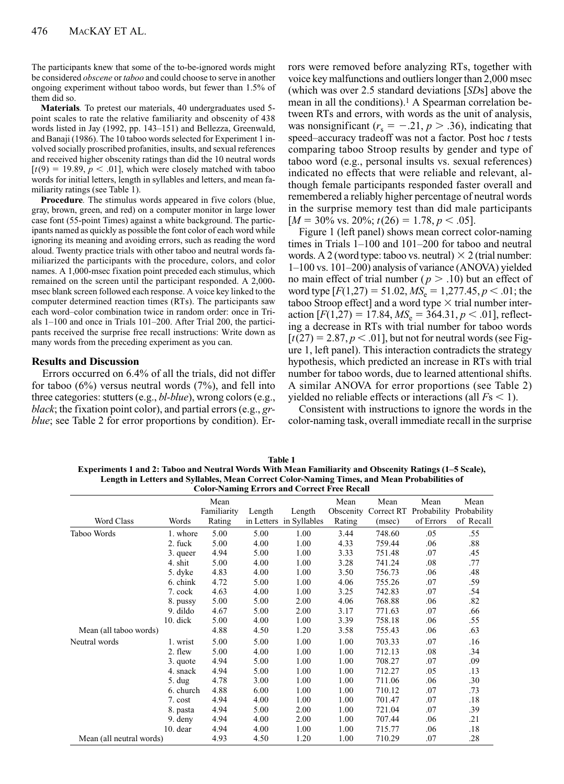The participants knew that some of the to-be-ignored words might be considered *obscene* or *taboo* and could choose to serve in another ongoing experiment without taboo words, but fewer than 1.5% of them did so.

**Materials***.* To pretest our materials, 40 undergraduates used 5 point scales to rate the relative familiarity and obscenity of 438 words listed in Jay (1992, pp. 143–151) and Bellezza, Greenwald, and Banaji (1986). The 10 taboo words selected for Experiment 1 involved socially proscribed profanities, insults, and sexual references and received higher obscenity ratings than did the 10 neutral words  $[t(9) = 19.89, p < .01]$ , which were closely matched with taboo words for initial letters, length in syllables and letters, and mean familiarity ratings (see Table 1).

**Procedure***.* The stimulus words appeared in five colors (blue, gray, brown, green, and red) on a computer monitor in large lower case font (55-point Times) against a white background. The participants named as quickly as possible the font color of each word while ignoring its meaning and avoiding errors, such as reading the word aloud. Twenty practice trials with other taboo and neutral words familiarized the participants with the procedure, colors, and color names. A 1,000-msec fixation point preceded each stimulus, which remained on the screen until the participant responded. A 2,000 msec blank screen followed each response. A voice key linked to the computer determined reaction times (RTs). The participants saw each word–color combination twice in random order: once in Trials 1–100 and once in Trials 101–200. After Trial 200, the participants received the surprise free recall instructions: Write down as many words from the preceding experiment as you can.

## **Results and Discussion**

Errors occurred on 6.4% of all the trials, did not differ for taboo  $(6\%)$  versus neutral words  $(7\%)$ , and fell into three categories: stutters (e.g., *bl-blue*), wrong colors (e.g., *black*; the fixation point color), and partial errors (e.g., *grblue*; see Table 2 for error proportions by condition). Errors were removed before analyzing RTs, together with voice key malfunctions and outliers longer than 2,000 msec (which was over 2.5 standard deviations [*SD*s] above the mean in all the conditions).<sup>1</sup> A Spearman correlation between RTs and errors, with words as the unit of analysis, was nonsignificant ( $r_s = -.21, p > .36$ ), indicating that speed–accuracy tradeoff was not a factor. Post hoc *t* tests comparing taboo Stroop results by gender and type of taboo word (e.g., personal insults vs. sexual references) indicated no effects that were reliable and relevant, although female participants responded faster overall and remembered a reliably higher percentage of neutral words in the surprise memory test than did male participants  $[M = 30\% \text{ vs. } 20\%; t(26) = 1.78, p < .05].$ 

Figure 1 (left panel) shows mean correct color-naming times in Trials 1–100 and 101–200 for taboo and neutral words. A 2 (word type: taboo vs. neutral)  $\times$  2 (trial number: 1–100 vs. 101–200) analysis of variance (ANOVA) yielded no main effect of trial number ( $p > .10$ ) but an effect of word type  $[F(1,27) = 51.02, MS_e = 1,277.45, p < .01$ ; the taboo Stroop effect] and a word type  $\times$  trial number interaction  $[F(1,27) = 17.84, MS_e = 364.31, p < .01]$ , reflecting a decrease in RTs with trial number for taboo words  $[t(27) = 2.87, p < .01]$ , but not for neutral words (see Figure 1, left panel). This interaction contradicts the strategy hypothesis, which predicted an increase in RTs with trial number for taboo words, due to learned attentional shifts. A similar ANOVA for error proportions (see Table 2) yielded no reliable effects or interactions (all  $Fs < 1$ ).

Consistent with instructions to ignore the words in the color-naming task, overall immediate recall in the surprise

**Table 1 Experiments 1 and 2: Taboo and Neutral Words With Mean Familiarity and Obscenity Ratings (1–5 Scale), Length in Letters and Syllables, Mean Correct Color-Naming Times, and Mean Probabilities of Color-Naming Errors and Correct Free Recall**

|                          |                   | Mean<br>Familiarity | Length | Length                  | Mean<br>Obscenity | Mean   | Mean<br>Correct RT Probability Probability | Mean      |
|--------------------------|-------------------|---------------------|--------|-------------------------|-------------------|--------|--------------------------------------------|-----------|
| Word Class               | Words             | Rating              |        | in Letters in Syllables | Rating            | (msec) | of Errors                                  | of Recall |
| Taboo Words              | 1. whore          | 5.00                | 5.00   | 1.00                    | 3.44              | 748.60 | .05                                        | .55       |
|                          | 2. fuck           | 5.00                | 4.00   | 1.00                    | 4.33              | 759.44 | .06                                        | .88       |
|                          | 3. queer          | 4.94                | 5.00   | 1.00                    | 3.33              | 751.48 | .07                                        | .45       |
|                          | 4. shit           | 5.00                | 4.00   | 1.00                    | 3.28              | 741.24 | .08                                        | .77       |
|                          | 5. dyke           | 4.83                | 4.00   | 1.00                    | 3.50              | 756.73 | .06                                        | .48       |
|                          | 6. chink          | 4.72                | 5.00   | 1.00                    | 4.06              | 755.26 | .07                                        | .59       |
|                          | 7. cock           | 4.63                | 4.00   | 1.00                    | 3.25              | 742.83 | .07                                        | .54       |
|                          | 8. pussy          | 5.00                | 5.00   | 2.00                    | 4.06              | 768.88 | .06                                        | .82       |
|                          | 9. dildo          | 4.67                | 5.00   | 2.00                    | 3.17              | 771.63 | .07                                        | .66       |
|                          | 10. dick          | 5.00                | 4.00   | 1.00                    | 3.39              | 758.18 | .06                                        | .55       |
| Mean (all taboo words)   |                   | 4.88                | 4.50   | 1.20                    | 3.58              | 755.43 | .06                                        | .63       |
| Neutral words            | 1. wrist          | 5.00                | 5.00   | 1.00                    | 1.00              | 703.33 | .07                                        | .16       |
|                          | 2. flew           | 5.00                | 4.00   | 1.00                    | 1.00              | 712.13 | .08                                        | .34       |
|                          | 3. quote          | 4.94                | 5.00   | 1.00                    | 1.00              | 708.27 | .07                                        | .09       |
|                          | 4. snack          | 4.94                | 5.00   | 1.00                    | 1.00              | 712.27 | .05                                        | .13       |
|                          | $5. \mathrm{dug}$ | 4.78                | 3.00   | 1.00                    | 1.00              | 711.06 | .06                                        | .30       |
|                          | 6. church         | 4.88                | 6.00   | 1.00                    | 1.00              | 710.12 | .07                                        | .73       |
|                          | 7. cost           | 4.94                | 4.00   | 1.00                    | 1.00              | 701.47 | .07                                        | .18       |
|                          | 8. pasta          | 4.94                | 5.00   | 2.00                    | 1.00              | 721.04 | .07                                        | .39       |
|                          | 9. deny           | 4.94                | 4.00   | 2.00                    | 1.00              | 707.44 | .06                                        | .21       |
|                          | $10.$ dear        | 4.94                | 4.00   | 1.00                    | 1.00              | 715.77 | .06                                        | .18       |
| Mean (all neutral words) |                   | 4.93                | 4.50   | 1.20                    | 1.00              | 710.29 | .07                                        | .28       |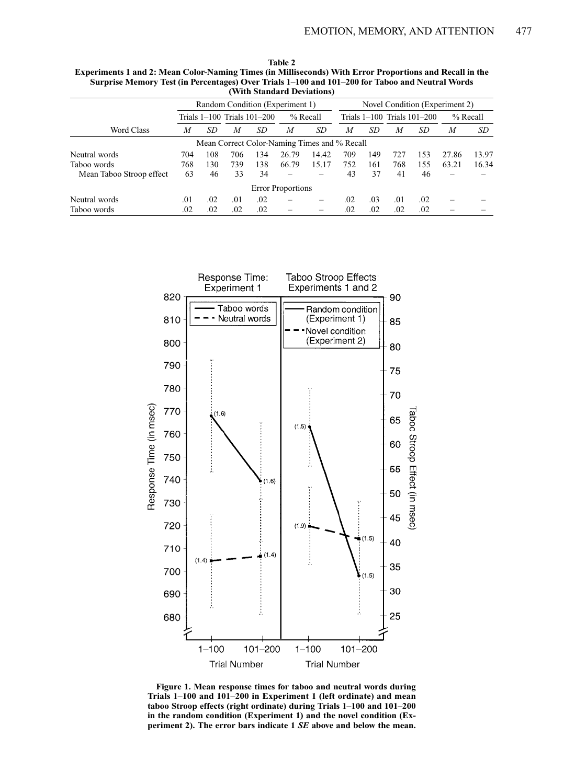|                          |                                 |     |                                 |     |                          | With Standard Deviations)                    |                                |     |                                 |     |          |       |
|--------------------------|---------------------------------|-----|---------------------------------|-----|--------------------------|----------------------------------------------|--------------------------------|-----|---------------------------------|-----|----------|-------|
|                          | Random Condition (Experiment 1) |     |                                 |     |                          |                                              | Novel Condition (Experiment 2) |     |                                 |     |          |       |
|                          |                                 |     | Trials $1-100$ Trials $101-200$ |     | % Recall                 |                                              |                                |     | Trials $1-100$ Trials $101-200$ |     | % Recall |       |
| <b>Word Class</b>        | M                               | SD  | M                               | SD  | M                        | SD                                           | M                              | SD  | M                               | SD  | M        | SD    |
|                          |                                 |     |                                 |     |                          | Mean Correct Color-Naming Times and % Recall |                                |     |                                 |     |          |       |
| Neutral words            | 704                             | 108 | 706                             | 134 | 26.79                    | 14.42                                        | 709                            | 149 | 727                             | 153 | 27.86    | 13.97 |
| Taboo words              | 768                             | 130 | 739                             | 138 | 66.79                    | 15.17                                        | 752                            | 161 | 768                             | 155 | 63.21    | 16.34 |
| Mean Taboo Stroop effect | 63                              | 46  | 33                              | 34  |                          |                                              | 43                             | 37  | 41                              | 46  | -        |       |
|                          |                                 |     |                                 |     | <b>Error Proportions</b> |                                              |                                |     |                                 |     |          |       |
| Neutral words            | .01                             | .02 | .01                             | .02 |                          | -                                            | $.02\,$                        | .03 | .01                             | .02 |          |       |
| Taboo words              | .02                             | .02 | .02                             | .02 |                          |                                              | .02                            | .02 | .02                             | .02 |          |       |

**Table 2 Experiments 1 and 2: Mean Color-Naming Times (in Milliseconds) With Error Proportions and Recall in the Surprise Memory Test (in Percentages) Over Trials 1–100 and 101–200 for Taboo and Neutral Words (With Standard Deviations)**



**Figure 1. Mean response times for taboo and neutral words during Trials 1–100 and 101–200 in Experiment 1 (left ordinate) and mean taboo Stroop effects (right ordinate) during Trials 1–100 and 101–200 in the random condition (Experiment 1) and the novel condition (Experiment 2). The error bars indicate 1** *SE* **above and below the mean.**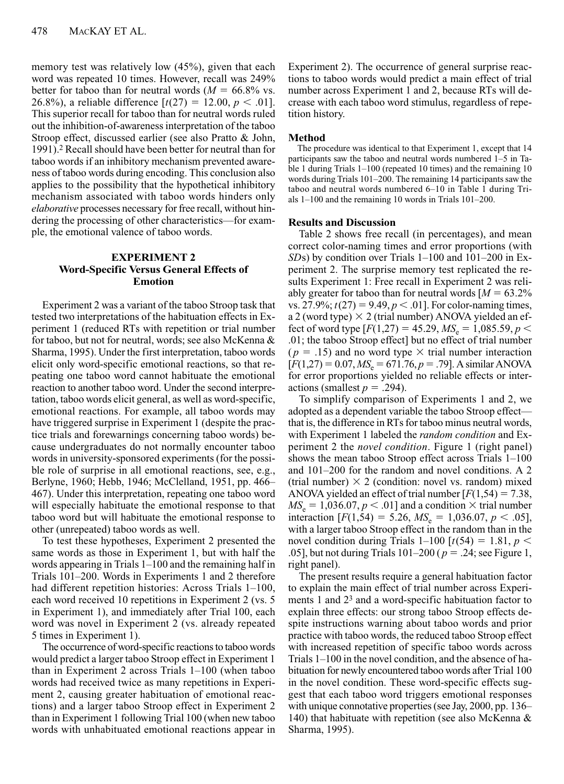memory test was relatively low (45%), given that each word was repeated 10 times. However, recall was 249% better for taboo than for neutral words  $(M = 66.8\%$  vs. 26.8%), a reliable difference  $[t(27) = 12.00, p < .01]$ . This superior recall for taboo than for neutral words ruled out the inhibition-of-awareness interpretation of the taboo Stroop effect, discussed earlier (see also Pratto & John, 1991).2 Recall should have been better for neutral than for taboo words if an inhibitory mechanism prevented awareness of taboo words during encoding. This conclusion also applies to the possibility that the hypothetical inhibitory mechanism associated with taboo words hinders only *elaborative* processes necessary for free recall, without hindering the processing of other characteristics—for example, the emotional valence of taboo words.

# **EXPERIMENT 2 Word-Specific Versus General Effects of Emotion**

Experiment 2 was a variant of the taboo Stroop task that tested two interpretations of the habituation effects in Experiment 1 (reduced RTs with repetition or trial number for taboo, but not for neutral, words; see also McKenna & Sharma, 1995). Under the first interpretation, taboo words elicit only word-specific emotional reactions, so that repeating one taboo word cannot habituate the emotional reaction to another taboo word. Under the second interpretation, taboo words elicit general, as well as word-specific, emotional reactions. For example, all taboo words may have triggered surprise in Experiment 1 (despite the practice trials and forewarnings concerning taboo words) because undergraduates do not normally encounter taboo words in university-sponsored experiments (for the possible role of surprise in all emotional reactions, see, e.g., Berlyne, 1960; Hebb, 1946; McClelland, 1951, pp. 466– 467). Under this interpretation, repeating one taboo word will especially habituate the emotional response to that taboo word but will habituate the emotional response to other (unrepeated) taboo words as well.

To test these hypotheses, Experiment 2 presented the same words as those in Experiment 1, but with half the words appearing in Trials 1–100 and the remaining half in Trials 101–200. Words in Experiments 1 and 2 therefore had different repetition histories: Across Trials 1–100, each word received 10 repetitions in Experiment 2 (vs. 5 in Experiment 1), and immediately after Trial 100, each word was novel in Experiment 2 (vs. already repeated 5 times in Experiment 1).

The occurrence of word-specific reactions to taboo words would predict a larger taboo Stroop effect in Experiment 1 than in Experiment 2 across Trials 1–100 (when taboo words had received twice as many repetitions in Experiment 2, causing greater habituation of emotional reactions) and a larger taboo Stroop effect in Experiment 2 than in Experiment 1 following Trial 100 (when new taboo words with unhabituated emotional reactions appear in

Experiment 2). The occurrence of general surprise reactions to taboo words would predict a main effect of trial number across Experiment 1 and 2, because RTs will decrease with each taboo word stimulus, regardless of repetition history.

### **Method**

The procedure was identical to that Experiment 1, except that 14 participants saw the taboo and neutral words numbered 1–5 in Table 1 during Trials 1–100 (repeated 10 times) and the remaining 10 words during Trials 101–200. The remaining 14 participants saw the taboo and neutral words numbered 6–10 in Table 1 during Trials 1–100 and the remaining 10 words in Trials 101–200.

#### **Results and Discussion**

Table 2 shows free recall (in percentages), and mean correct color-naming times and error proportions (with *SD*s) by condition over Trials 1–100 and 101–200 in Experiment 2. The surprise memory test replicated the results Experiment 1: Free recall in Experiment 2 was reliably greater for taboo than for neutral words  $[M = 63.2\%]$ vs. 27.9%;  $t(27) = 9.49, p < .01$ . For color-naming times, a 2 (word type)  $\times$  2 (trial number) ANOVA yielded an effect of word type  $[F(1,27) = 45.29, MS_e = 1,085.59, p <$ .01; the taboo Stroop effect] but no effect of trial number  $(p = .15)$  and no word type  $\times$  trial number interaction  $[F(1,27) = 0.07, MS_e = 671.76, p = .79]$ . A similar ANOVA for error proportions yielded no reliable effects or interactions (smallest  $p = .294$ ).

To simplify comparison of Experiments 1 and 2, we adopted as a dependent variable the taboo Stroop effect that is, the difference in RTs for taboo minus neutral words, with Experiment 1 labeled the *random condition* and Experiment 2 the *novel condition*. Figure 1 (right panel) shows the mean taboo Stroop effect across Trials 1–100 and 101–200 for the random and novel conditions. A 2 (trial number)  $\times$  2 (condition: novel vs. random) mixed ANOVA yielded an effect of trial number  $[F(1,54) = 7.38]$ ,  $MS_e = 1,036.07, p < .01$ ] and a condition  $\times$  trial number interaction  $[F(1,54) = 5.26, MS_e = 1,036.07, p < .05]$ , with a larger taboo Stroop effect in the random than in the novel condition during Trials  $1-100$  [ $t(54) = 1.81$ ,  $p <$ .05], but not during Trials  $101-200$  ( $p = .24$ ; see Figure 1, right panel).

The present results require a general habituation factor to explain the main effect of trial number across Experiments 1 and 23 and a word-specific habituation factor to explain three effects: our strong taboo Stroop effects despite instructions warning about taboo words and prior practice with taboo words, the reduced taboo Stroop effect with increased repetition of specific taboo words across Trials 1–100 in the novel condition, and the absence of habituation for newly encountered taboo words after Trial 100 in the novel condition. These word-specific effects suggest that each taboo word triggers emotional responses with unique connotative properties (see Jay, 2000, pp. 136– 140) that habituate with repetition (see also McKenna & Sharma, 1995).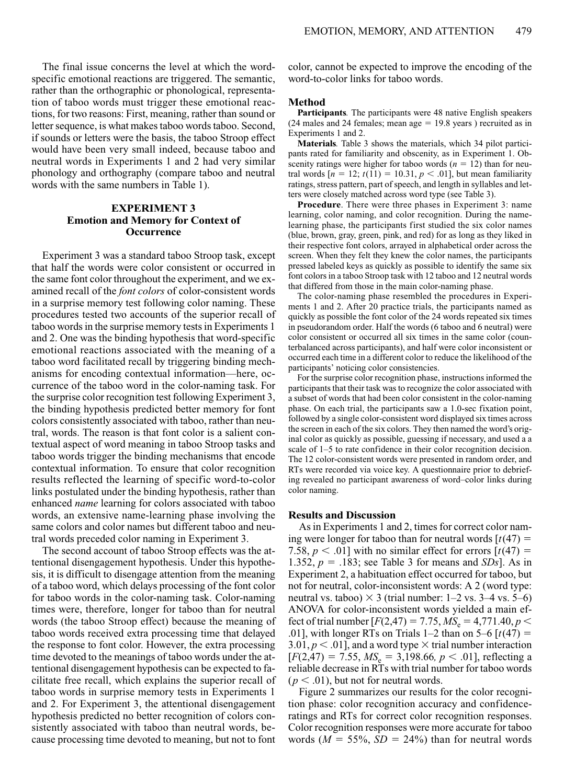The final issue concerns the level at which the wordspecific emotional reactions are triggered. The semantic, rather than the orthographic or phonological, representation of taboo words must trigger these emotional reactions, for two reasons: First, meaning, rather than sound or letter sequence, is what makes taboo words taboo. Second, if sounds or letters were the basis, the taboo Stroop effect would have been very small indeed, because taboo and neutral words in Experiments 1 and 2 had very similar phonology and orthography (compare taboo and neutral words with the same numbers in Table 1).

# **EXPERIMENT 3 Emotion and Memory for Context of Occurrence**

Experiment 3 was a standard taboo Stroop task, except that half the words were color consistent or occurred in the same font color throughout the experiment, and we examined recall of the *font colors* of color-consistent words in a surprise memory test following color naming. These procedures tested two accounts of the superior recall of taboo words in the surprise memory tests in Experiments 1 and 2. One was the binding hypothesis that word-specific emotional reactions associated with the meaning of a taboo word facilitated recall by triggering binding mechanisms for encoding contextual information—here, occurrence of the taboo word in the color-naming task. For the surprise color recognition test following Experiment 3, the binding hypothesis predicted better memory for font colors consistently associated with taboo, rather than neutral, words. The reason is that font color is a salient contextual aspect of word meaning in taboo Stroop tasks and taboo words trigger the binding mechanisms that encode contextual information. To ensure that color recognition results reflected the learning of specific word-to-color links postulated under the binding hypothesis, rather than enhanced *name* learning for colors associated with taboo words, an extensive name-learning phase involving the same colors and color names but different taboo and neutral words preceded color naming in Experiment 3.

The second account of taboo Stroop effects was the attentional disengagement hypothesis. Under this hypothesis, it is difficult to disengage attention from the meaning of a taboo word, which delays processing of the font color for taboo words in the color-naming task. Color-naming times were, therefore, longer for taboo than for neutral words (the taboo Stroop effect) because the meaning of taboo words received extra processing time that delayed the response to font color. However, the extra processing time devoted to the meanings of taboo words under the attentional disengagement hypothesis can be expected to facilitate free recall, which explains the superior recall of taboo words in surprise memory tests in Experiments 1 and 2. For Experiment 3, the attentional disengagement hypothesis predicted no better recognition of colors consistently associated with taboo than neutral words, because processing time devoted to meaning, but not to font

color, cannot be expected to improve the encoding of the word-to-color links for taboo words.

#### **Method**

**Participants***.* The participants were 48 native English speakers (24 males and 24 females; mean age  $= 19.8$  years) recruited as in Experiments 1 and 2.

**Materials***.* Table 3 shows the materials, which 34 pilot participants rated for familiarity and obscenity, as in Experiment 1. Obscenity ratings were higher for taboo words  $(n = 12)$  than for neutral words  $[n = 12; t(11) = 10.31, p < .01]$ , but mean familiarity ratings, stress pattern, part of speech, and length in syllables and letters were closely matched across word type (see Table 3).

**Procedure**. There were three phases in Experiment 3: name learning, color naming, and color recognition. During the namelearning phase, the participants first studied the six color names (blue, brown, gray, green, pink, and red) for as long as they liked in their respective font colors, arrayed in alphabetical order across the screen. When they felt they knew the color names, the participants pressed labeled keys as quickly as possible to identify the same six font colors in a taboo Stroop task with 12 taboo and 12 neutral words that differed from those in the main color-naming phase.

The color-naming phase resembled the procedures in Experiments 1 and 2. After 20 practice trials, the participants named as quickly as possible the font color of the 24 words repeated six times in pseudorandom order. Half the words (6 taboo and 6 neutral) were color consistent or occurred all six times in the same color (counterbalanced across participants), and half were color inconsistent or occurred each time in a different color to reduce the likelihood of the participants' noticing color consistencies.

For the surprise color recognition phase, instructions informed the participants that their task was to recognize the color associated with a subset of words that had been color consistent in the color-naming phase. On each trial, the participants saw a 1.0-sec fixation point, followed by a single color-consistent word displayed six times across the screen in each of the six colors. They then named the word's original color as quickly as possible, guessing if necessary, and used a a scale of 1–5 to rate confidence in their color recognition decision. The 12 color-consistent words were presented in random order, and RTs were recorded via voice key. A questionnaire prior to debriefing revealed no participant awareness of word–color links during color naming.

#### **Results and Discussion**

As in Experiments 1 and 2, times for correct color naming were longer for taboo than for neutral words  $\left[\frac{t(47)}{2}\right]$ 7.58,  $p < .01$ ] with no similar effect for errors  $\left[t(47)\right]$  = 1.352,  $p = .183$ ; see Table 3 for means and *SDs*]. As in Experiment 2, a habituation effect occurred for taboo, but not for neutral, color-inconsistent words: A 2 (word type: neutral vs. taboo)  $\times$  3 (trial number: 1–2 vs. 3–4 vs. 5–6) ANOVA for color-inconsistent words yielded a main effect of trial number  $[F(2,47) = 7.75, MS_e = 4,771.40, p <$ .01], with longer RTs on Trials 1–2 than on 5–6  $\lceil t(47) \rceil$  $3.01, p < .01$ ], and a word type  $\times$  trial number interaction  $[F(2,47) = 7.55, MS_e = 3,198.66, p < .01]$ , reflecting a reliable decrease in RTs with trial number for taboo words  $(p < .01)$ , but not for neutral words.

Figure 2 summarizes our results for the color recognition phase: color recognition accuracy and confidenceratings and RTs for correct color recognition responses. Color recognition responses were more accurate for taboo words ( $M = 55\%$ ,  $SD = 24\%$ ) than for neutral words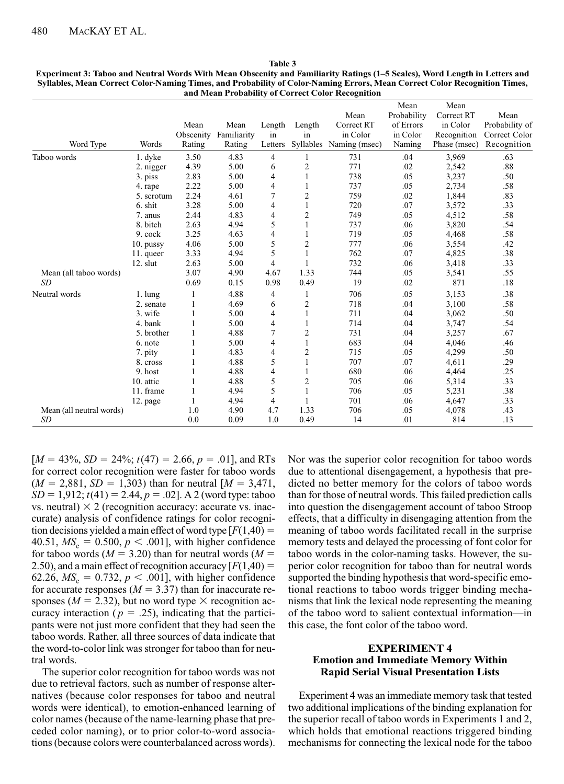|                          |             |           |             |                          |                |                         | Mean        | Mean         |                |
|--------------------------|-------------|-----------|-------------|--------------------------|----------------|-------------------------|-------------|--------------|----------------|
|                          |             |           |             |                          |                | Mean                    | Probability | Correct RT   | Mean           |
|                          |             | Mean      | Mean        | Length                   | Length         | Correct RT              | of Errors   | in Color     | Probability of |
|                          |             | Obscenity | Familiarity | in                       | in             | in Color                | in Color    | Recognition  | Correct Color  |
| Word Type                | Words       | Rating    | Rating      | Letters                  |                | Syllables Naming (msec) | Naming      | Phase (msec) | Recognition    |
| Taboo words              | 1. dyke     | 3.50      | 4.83        | $\overline{4}$           |                | 731                     | .04         | 3,969        | .63            |
|                          | 2. nigger   | 4.39      | 5.00        | 6                        | $\mathfrak{2}$ | 771                     | .02         | 2,542        | .88            |
|                          | 3. piss     | 2.83      | 5.00        | 4                        | 1              | 738                     | .05         | 3,237        | .50            |
|                          | 4. rape     | 2.22      | 5.00        | 4                        |                | 737                     | .05         | 2,734        | .58            |
|                          | 5. scrotum  | 2.24      | 4.61        | 7                        | $\overline{c}$ | 759                     | .02         | 1,844        | .83            |
|                          | 6. shit     | 3.28      | 5.00        | 4                        | $\mathbf{1}$   | 720                     | .07         | 3,572        | .33            |
|                          | 7. anus     | 2.44      | 4.83        | $\overline{4}$           | $\overline{c}$ | 749                     | .05         | 4,512        | .58            |
|                          | 8. bitch    | 2.63      | 4.94        | 5                        | 1              | 737                     | .06         | 3,820        | .54            |
|                          | 9. cock     | 3.25      | 4.63        | 4                        |                | 719                     | .05         | 4,468        | .58            |
|                          | $10.$ pussy | 4.06      | 5.00        | 5                        | $\mathfrak{2}$ | 777                     | .06         | 3,554        | .42            |
|                          | 11. queer   | 3.33      | 4.94        | 5                        | 1              | 762                     | .07         | 4,825        | .38            |
|                          | 12. slut    | 2.63      | 5.00        | $\overline{\mathcal{L}}$ |                | 732                     | .06         | 3,418        | .33            |
| Mean (all taboo words)   |             | 3.07      | 4.90        | 4.67                     | 1.33           | 744                     | .05         | 3,541        | .55            |
| <b>SD</b>                |             | 0.69      | 0.15        | 0.98                     | 0.49           | 19                      | .02         | 871          | .18            |
| Neutral words            | $1.$ lung   | 1         | 4.88        | 4                        | 1              | 706                     | .05         | 3,153        | .38            |
|                          | 2. senate   | 1         | 4.69        | 6                        | $\overline{c}$ | 718                     | .04         | 3,100        | .58            |
|                          | 3. wife     |           | 5.00        | 4                        | 1              | 711                     | .04         | 3,062        | .50            |
|                          | 4. bank     | 1         | 5.00        | 4                        |                | 714                     | .04         | 3,747        | .54            |
|                          | 5. brother  |           | 4.88        | 7                        | $\mathfrak{2}$ | 731                     | .04         | 3,257        | .67            |
|                          | 6. note     | 1         | 5.00        | $\overline{4}$           | $\mathbf{1}$   | 683                     | .04         | 4,046        | .46            |
|                          | 7. pity     | 1         | 4.83        | $\overline{4}$           | $\overline{2}$ | 715                     | .05         | 4,299        | .50            |
|                          | 8. cross    | 1         | 4.88        | 5                        |                | 707                     | .07         | 4,611        | .29            |
|                          | 9. host     | 1         | 4.88        | 4                        | 1              | 680                     | .06         | 4,464        | .25            |
|                          | 10. attic   |           | 4.88        | 5                        | $\mathfrak{2}$ | 705                     | .06         | 5,314        | .33            |
|                          | 11. frame   | 1         | 4.94        | 5                        | 1              | 706                     | .05         | 5,231        | .38            |
|                          | 12. page    | 1         | 4.94        | 4                        |                | 701                     | .06         | 4,647        | .33            |
| Mean (all neutral words) |             | 1.0       | 4.90        | 4.7                      | 1.33           | 706                     | .05         | 4,078        | .43            |
| <b>SD</b>                |             | 0.0       | 0.09        | 1.0                      | 0.49           | 14                      | .01         | 814          | .13            |

**Table 3 Experiment 3: Taboo and Neutral Words With Mean Obscenity and Familiarity Ratings (1–5 Scales), Word Length in Letters and Syllables, Mean Correct Color-Naming Times, and Probability of Color-Naming Errors, Mean Correct Color Recognition Times, and Mean Probability of Correct Color Recognition**

 $[M = 43\%, SD = 24\%; t(47) = 2.66, p = .01]$ , and RTs for correct color recognition were faster for taboo words  $(M = 2,881, SD = 1,303)$  than for neutral  $[M = 3,471,$  $SD = 1,912$ ;  $t(41) = 2.44$ ,  $p = .02$ ]. A 2 (word type: taboo vs. neutral)  $\times$  2 (recognition accuracy: accurate vs. inaccurate) analysis of confidence ratings for color recognition decisions yielded a main effect of word type  $[F(1,40) =$ 40.51,  $MS_e = 0.500, p < .001$ , with higher confidence for taboo words ( $M = 3.20$ ) than for neutral words ( $M =$ 2.50), and a main effect of recognition accuracy  $[F(1,40) =$ 62.26,  $MS_e = 0.732$ ,  $p < .001$ ], with higher confidence for accurate responses ( $M = 3.37$ ) than for inaccurate responses ( $M = 2.32$ ), but no word type  $\times$  recognition accuracy interaction ( $p = .25$ ), indicating that the participants were not just more confident that they had seen the taboo words. Rather, all three sources of data indicate that the word-to-color link was stronger for taboo than for neutral words.

The superior color recognition for taboo words was not due to retrieval factors, such as number of response alternatives (because color responses for taboo and neutral words were identical), to emotion-enhanced learning of color names (because of the name-learning phase that preceded color naming), or to prior color-to-word associations (because colors were counterbalanced across words).

Nor was the superior color recognition for taboo words due to attentional disengagement, a hypothesis that predicted no better memory for the colors of taboo words than for those of neutral words. This failed prediction calls into question the disengagement account of taboo Stroop effects, that a difficulty in disengaging attention from the meaning of taboo words facilitated recall in the surprise memory tests and delayed the processing of font color for taboo words in the color-naming tasks. However, the superior color recognition for taboo than for neutral words supported the binding hypothesis that word-specific emotional reactions to taboo words trigger binding mechanisms that link the lexical node representing the meaning of the taboo word to salient contextual information—in this case, the font color of the taboo word.

# **EXPERIMENT 4 Emotion and Immediate Memory Within Rapid Serial Visual Presentation Lists**

Experiment 4 was an immediate memory task that tested two additional implications of the binding explanation for the superior recall of taboo words in Experiments 1 and 2, which holds that emotional reactions triggered binding mechanisms for connecting the lexical node for the taboo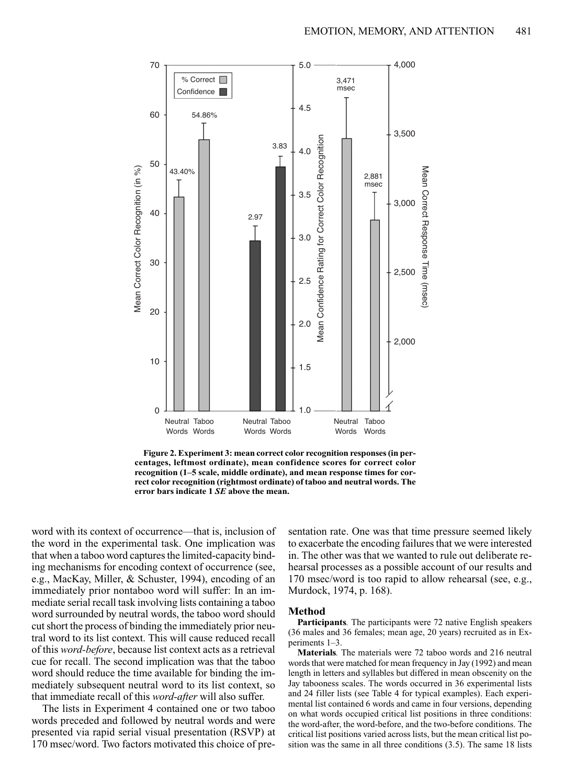

**Figure 2. Experiment 3: mean correct color recognition responses (in percentages, leftmost ordinate), mean confidence scores for correct color recognition (1–5 scale, middle ordinate), and mean response times for correct color recognition (rightmost ordinate) of taboo and neutral words. The error bars indicate 1** *SE* **above the mean.**

word with its context of occurrence—that is, inclusion of the word in the experimental task. One implication was that when a taboo word captures the limited-capacity binding mechanisms for encoding context of occurrence (see, e.g., MacKay, Miller, & Schuster, 1994), encoding of an immediately prior nontaboo word will suffer: In an immediate serial recall task involving lists containing a taboo word surrounded by neutral words, the taboo word should cut short the process of binding the immediately prior neutral word to its list context. This will cause reduced recall of this *word-before*, because list context acts as a retrieval cue for recall. The second implication was that the taboo word should reduce the time available for binding the immediately subsequent neutral word to its list context, so that immediate recall of this *word-after* will also suffer.

The lists in Experiment 4 contained one or two taboo words preceded and followed by neutral words and were presented via rapid serial visual presentation (RSVP) at 170 msec/word. Two factors motivated this choice of presentation rate. One was that time pressure seemed likely to exacerbate the encoding failures that we were interested in. The other was that we wanted to rule out deliberate rehearsal processes as a possible account of our results and 170 msec/word is too rapid to allow rehearsal (see, e.g., Murdock, 1974, p. 168).

#### **Method**

**Participants***.* The participants were 72 native English speakers (36 males and 36 females; mean age, 20 years) recruited as in Experiments 1–3.

**Materials***.* The materials were 72 taboo words and 216 neutral words that were matched for mean frequency in Jay (1992) and mean length in letters and syllables but differed in mean obscenity on the Jay tabooness scales. The words occurred in 36 experimental lists and 24 filler lists (see Table 4 for typical examples). Each experimental list contained 6 words and came in four versions, depending on what words occupied critical list positions in three conditions: the word-after, the word-before, and the two-before conditions. The critical list positions varied across lists, but the mean critical list position was the same in all three conditions (3.5). The same 18 lists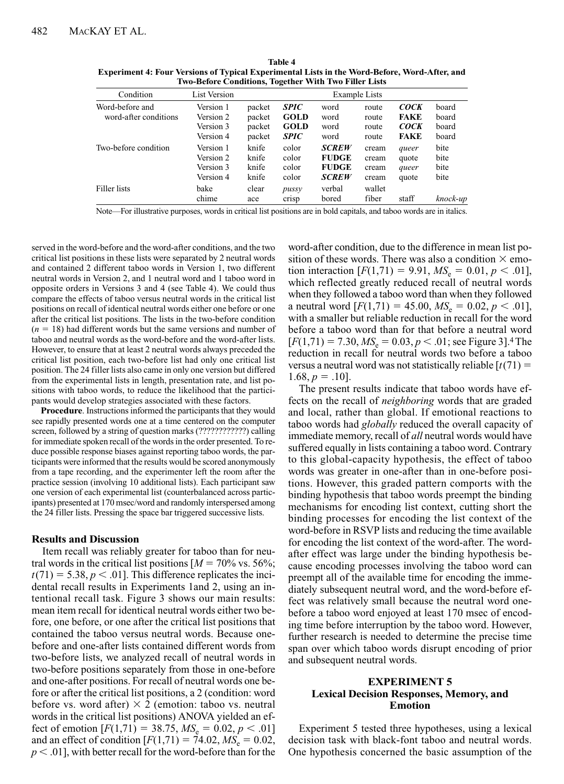| TWO-Before Conditions, Together With Two Filler Lists |                                                  |                                      |                                                          |                                                              |                                  |                                            |                                  |  |  |  |
|-------------------------------------------------------|--------------------------------------------------|--------------------------------------|----------------------------------------------------------|--------------------------------------------------------------|----------------------------------|--------------------------------------------|----------------------------------|--|--|--|
| Condition                                             | List Version                                     | Example Lists                        |                                                          |                                                              |                                  |                                            |                                  |  |  |  |
| Word-before and<br>word-after conditions              | Version 1<br>Version 2<br>Version 3<br>Version 4 | packet<br>packet<br>packet<br>packet | <b>SPIC</b><br><b>GOLD</b><br><b>GOLD</b><br><b>SPIC</b> | word<br>word<br>word<br>word                                 | route<br>route<br>route<br>route | <b>COCK</b><br>FAKE<br><i>COCK</i><br>FAKE | board<br>board<br>board<br>board |  |  |  |
| Two-before condition                                  | Version 1<br>Version 2<br>Version 3<br>Version 4 | knife<br>knife<br>knife<br>knife     | color<br>color<br>color<br>color                         | <b>SCREW</b><br><b>FUDGE</b><br><b>FUDGE</b><br><b>SCREW</b> | cream<br>cream<br>cream<br>cream | queer<br>quote<br>queer<br>quote           | bite<br>bite<br>bite<br>bite     |  |  |  |
| Filler lists                                          | bake<br>chime                                    | clear<br>ace                         | pussy<br>crisp                                           | verbal<br>bored                                              | wallet<br>fiber                  | staff                                      | knock-up                         |  |  |  |

**Table 4 Experiment 4: Four Versions of Typical Experimental Lists in the Word-Before, Word-After, and <br>Two-Before Conditions Together With Two-Filler Lists Two-Before Conditions, Together With Two Filler Lists**

Note—For illustrative purposes, words in critical list positions are in bold capitals, and taboo words are in italics.

served in the word-before and the word-after conditions, and the two critical list positions in these lists were separated by 2 neutral words and contained 2 different taboo words in Version 1, two different neutral words in Version 2, and 1 neutral word and 1 taboo word in opposite orders in Versions 3 and 4 (see Table 4). We could thus compare the effects of taboo versus neutral words in the critical list positions on recall of identical neutral words either one before or one after the critical list positions. The lists in the two-before condition  $(n = 18)$  had different words but the same versions and number of taboo and neutral words as the word-before and the word-after lists. However, to ensure that at least 2 neutral words always preceded the critical list position, each two-before list had only one critical list position. The 24 filler lists also came in only one version but differed from the experimental lists in length, presentation rate, and list positions with taboo words, to reduce the likelihood that the participants would develop strategies associated with these factors.

**Procedure**. Instructions informed the participants that they would see rapidly presented words one at a time centered on the computer screen, followed by a string of question marks (??????????????) calling for immediate spoken recall of the words in the order presented. To reduce possible response biases against reporting taboo words, the participants were informed that the results would be scored anonymously from a tape recording, and the experimenter left the room after the practice session (involving 10 additional lists). Each participant saw one version of each experimental list (counterbalanced across participants) presented at 170 msec/word and randomly interspersed among the 24 filler lists. Pressing the space bar triggered successive lists.

### **Results and Discussion**

Item recall was reliably greater for taboo than for neutral words in the critical list positions  $[M = 70\% \text{ vs. } 56\%;$  $t(71) = 5.38, p < .01$ . This difference replicates the incidental recall results in Experiments 1and 2, using an intentional recall task. Figure 3 shows our main results: mean item recall for identical neutral words either two before, one before, or one after the critical list positions that contained the taboo versus neutral words. Because onebefore and one-after lists contained different words from two-before lists, we analyzed recall of neutral words in two-before positions separately from those in one-before and one-after positions. For recall of neutral words one before or after the critical list positions, a 2 (condition: word before vs. word after)  $\times$  2 (emotion: taboo vs. neutral words in the critical list positions) ANOVA yielded an effect of emotion  $[F(1,71) = 38.75, MS_e = 0.02, p < .01]$ and an effect of condition  $[F(1,71) = 74.02, MS_e = 0.02,$  $p < .01$ , with better recall for the word-before than for the

word-after condition, due to the difference in mean list position of these words. There was also a condition  $\times$  emotion interaction  $[F(1,71) = 9.91, MS<sub>e</sub> = 0.01, p < .01]$ , which reflected greatly reduced recall of neutral words when they followed a taboo word than when they followed a neutral word  $[F(1,71) = 45.00, MS_e = 0.02, p < .01]$ , with a smaller but reliable reduction in recall for the word before a taboo word than for that before a neutral word  $[F(1,71) = 7.30, MS<sub>e</sub> = 0.03, p < .01$ ; see Figure 3].<sup>4</sup> The reduction in recall for neutral words two before a taboo versus a neutral word was not statistically reliable [*t*(71)  $1.68, p = .10$ .

The present results indicate that taboo words have effects on the recall of *neighboring* words that are graded and local, rather than global. If emotional reactions to taboo words had *globally* reduced the overall capacity of immediate memory, recall of *all* neutral words would have suffered equally in lists containing a taboo word. Contrary to this global-capacity hypothesis, the effect of taboo words was greater in one-after than in one-before positions. However, this graded pattern comports with the binding hypothesis that taboo words preempt the binding mechanisms for encoding list context, cutting short the binding processes for encoding the list context of the word-before in RSVP lists and reducing the time available for encoding the list context of the word-after. The wordafter effect was large under the binding hypothesis because encoding processes involving the taboo word can preempt all of the available time for encoding the immediately subsequent neutral word, and the word-before effect was relatively small because the neutral word onebefore a taboo word enjoyed at least 170 msec of encoding time before interruption by the taboo word. However, further research is needed to determine the precise time span over which taboo words disrupt encoding of prior and subsequent neutral words.

## **EXPERIMENT 5 Lexical Decision Responses, Memory, and Emotion**

Experiment 5 tested three hypotheses, using a lexical decision task with black-font taboo and neutral words. One hypothesis concerned the basic assumption of the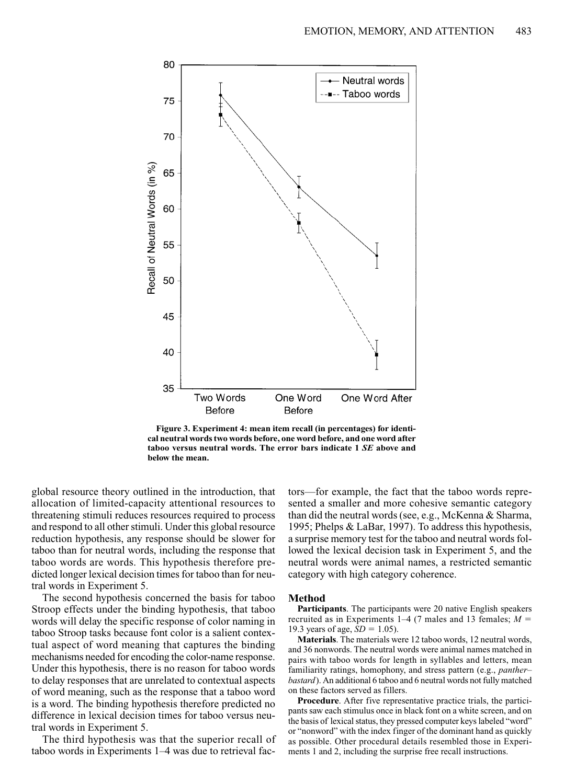

**Figure 3. Experiment 4: mean item recall (in percentages) for identical neutral words two words before, one word before, and one word after taboo versus neutral words. The error bars indicate 1** *SE* **above and below the mean.**

global resource theory outlined in the introduction, that allocation of limited-capacity attentional resources to threatening stimuli reduces resources required to process and respond to all other stimuli. Under this global resource reduction hypothesis, any response should be slower for taboo than for neutral words, including the response that taboo words are words. This hypothesis therefore predicted longer lexical decision times for taboo than for neutral words in Experiment 5.

The second hypothesis concerned the basis for taboo Stroop effects under the binding hypothesis, that taboo words will delay the specific response of color naming in taboo Stroop tasks because font color is a salient contextual aspect of word meaning that captures the binding mechanisms needed for encoding the color-name response. Under this hypothesis, there is no reason for taboo words to delay responses that are unrelated to contextual aspects of word meaning, such as the response that a taboo word is a word. The binding hypothesis therefore predicted no difference in lexical decision times for taboo versus neutral words in Experiment 5.

The third hypothesis was that the superior recall of taboo words in Experiments 1–4 was due to retrieval factors—for example, the fact that the taboo words represented a smaller and more cohesive semantic category than did the neutral words (see, e.g., McKenna & Sharma, 1995; Phelps & LaBar, 1997). To address this hypothesis, a surprise memory test for the taboo and neutral words followed the lexical decision task in Experiment 5, and the neutral words were animal names, a restricted semantic category with high category coherence.

#### **Method**

**Participants**. The participants were 20 native English speakers recruited as in Experiments 1–4 (7 males and 13 females; *M* 19.3 years of age,  $SD = 1.05$ ).

**Materials**. The materials were 12 taboo words, 12 neutral words, and 36 nonwords. The neutral words were animal names matched in pairs with taboo words for length in syllables and letters, mean familiarity ratings, homophony, and stress pattern (e.g., *panther*– *bastard*). An additional 6 taboo and 6 neutral words not fully matched on these factors served as fillers.

**Procedure**. After five representative practice trials, the participants saw each stimulus once in black font on a white screen, and on the basis of lexical status, they pressed computer keys labeled "word" or "nonword" with the index finger of the dominant hand as quickly as possible. Other procedural details resembled those in Experiments 1 and 2, including the surprise free recall instructions.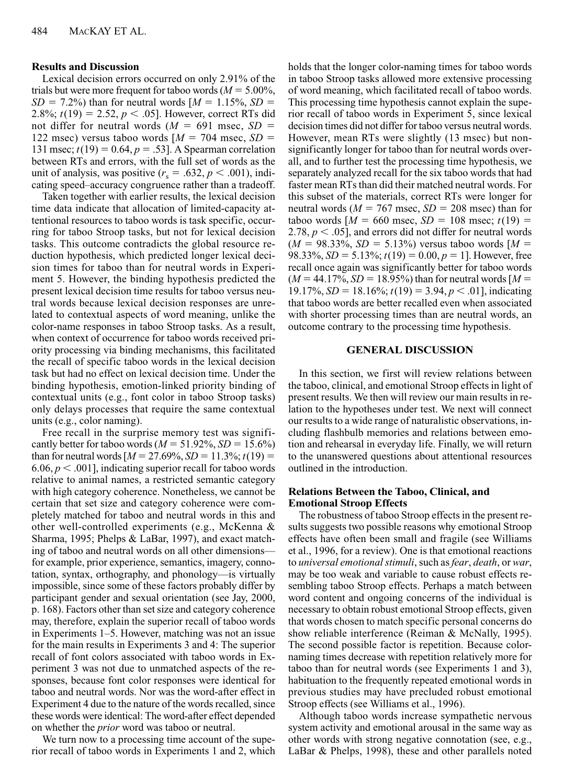## **Results and Discussion**

Lexical decision errors occurred on only 2.91% of the trials but were more frequent for taboo words  $(M = 5.00\%$ ,  $SD = 7.2\%$ ) than for neutral words  $[M = 1.15\%, SD =$ 2.8%;  $t(19) = 2.52$ ,  $p < .05$ ]. However, correct RTs did not differ for neutral words  $(M = 691$  msec,  $SD =$ 122 msec) versus taboo words  $[M = 704$  msec,  $SD =$ 131 msec;  $t(19) = 0.64$ ,  $p = .53$ ]. A Spearman correlation between RTs and errors, with the full set of words as the unit of analysis, was positive  $(r_s = .632, p < .001)$ , indicating speed–accuracy congruence rather than a tradeoff.

Taken together with earlier results, the lexical decision time data indicate that allocation of limited-capacity attentional resources to taboo words is task specific, occurring for taboo Stroop tasks, but not for lexical decision tasks. This outcome contradicts the global resource reduction hypothesis, which predicted longer lexical decision times for taboo than for neutral words in Experiment 5. However, the binding hypothesis predicted the present lexical decision time results for taboo versus neutral words because lexical decision responses are unrelated to contextual aspects of word meaning, unlike the color-name responses in taboo Stroop tasks. As a result, when context of occurrence for taboo words received priority processing via binding mechanisms, this facilitated the recall of specific taboo words in the lexical decision task but had no effect on lexical decision time. Under the binding hypothesis, emotion-linked priority binding of contextual units (e.g., font color in taboo Stroop tasks) only delays processes that require the same contextual units (e.g., color naming).

Free recall in the surprise memory test was significantly better for taboo words ( $M = 51.92\%$ ,  $SD = 15.6\%$ ) than for neutral words  $[M = 27.69\%, SD = 11.3\%; t(19) =$  $6.06, p < .001$ ], indicating superior recall for taboo words relative to animal names, a restricted semantic category with high category coherence. Nonetheless, we cannot be certain that set size and category coherence were completely matched for taboo and neutral words in this and other well-controlled experiments (e.g., McKenna & Sharma, 1995; Phelps & LaBar, 1997), and exact matching of taboo and neutral words on all other dimensions for example, prior experience, semantics, imagery, connotation, syntax, orthography, and phonology—is virtually impossible, since some of these factors probably differ by participant gender and sexual orientation (see Jay, 2000, p. 168). Factors other than set size and category coherence may, therefore, explain the superior recall of taboo words in Experiments 1–5. However, matching was not an issue for the main results in Experiments 3 and 4: The superior recall of font colors associated with taboo words in Experiment 3 was not due to unmatched aspects of the responses, because font color responses were identical for taboo and neutral words. Nor was the word-after effect in Experiment 4 due to the nature of the words recalled, since these words were identical: The word-after effect depended on whether the *prior* word was taboo or neutral.

We turn now to a processing time account of the superior recall of taboo words in Experiments 1 and 2, which holds that the longer color-naming times for taboo words in taboo Stroop tasks allowed more extensive processing of word meaning, which facilitated recall of taboo words. This processing time hypothesis cannot explain the superior recall of taboo words in Experiment 5, since lexical decision times did not differ for taboo versus neutral words. However, mean RTs were slightly (13 msec) but nonsignificantly longer for taboo than for neutral words overall, and to further test the processing time hypothesis, we separately analyzed recall for the six taboo words that had faster mean RTs than did their matched neutral words. For this subset of the materials, correct RTs were longer for neutral words ( $M = 767$  msec,  $SD = 208$  msec) than for taboo words  $[M = 660$  msec,  $SD = 108$  msec;  $t(19) =$ 2.78,  $p < .05$ ], and errors did not differ for neutral words  $(M = 98.33\%, SD = 5.13\%)$  versus taboo words  $[M =$ 98.33%,  $SD = 5.13\%$ ;  $t(19) = 0.00$ ,  $p = 1$ ]. However, free recall once again was significantly better for taboo words  $(M = 44.17\%, SD = 18.95\%)$  than for neutral words  $[M =$  $19.17\%, SD = 18.16\%; t(19) = 3.94, p < .01$ ], indicating that taboo words are better recalled even when associated with shorter processing times than are neutral words, an outcome contrary to the processing time hypothesis.

## **GENERAL DISCUSSION**

In this section, we first will review relations between the taboo, clinical, and emotional Stroop effects in light of present results. We then will review our main results in relation to the hypotheses under test. We next will connect our results to a wide range of naturalistic observations, including flashbulb memories and relations between emotion and rehearsal in everyday life. Finally, we will return to the unanswered questions about attentional resources outlined in the introduction.

## **Relations Between the Taboo, Clinical, and Emotional Stroop Effects**

The robustness of taboo Stroop effects in the present results suggests two possible reasons why emotional Stroop effects have often been small and fragile (see Williams et al., 1996, for a review). One is that emotional reactions to *universal emotional stimuli*, such as *fear*, *death*, or *war*, may be too weak and variable to cause robust effects resembling taboo Stroop effects. Perhaps a match between word content and ongoing concerns of the individual is necessary to obtain robust emotional Stroop effects, given that words chosen to match specific personal concerns do show reliable interference (Reiman & McNally, 1995). The second possible factor is repetition. Because colornaming times decrease with repetition relatively more for taboo than for neutral words (see Experiments 1 and 3), habituation to the frequently repeated emotional words in previous studies may have precluded robust emotional Stroop effects (see Williams et al., 1996).

Although taboo words increase sympathetic nervous system activity and emotional arousal in the same way as other words with strong negative connotation (see, e.g., LaBar & Phelps, 1998), these and other parallels noted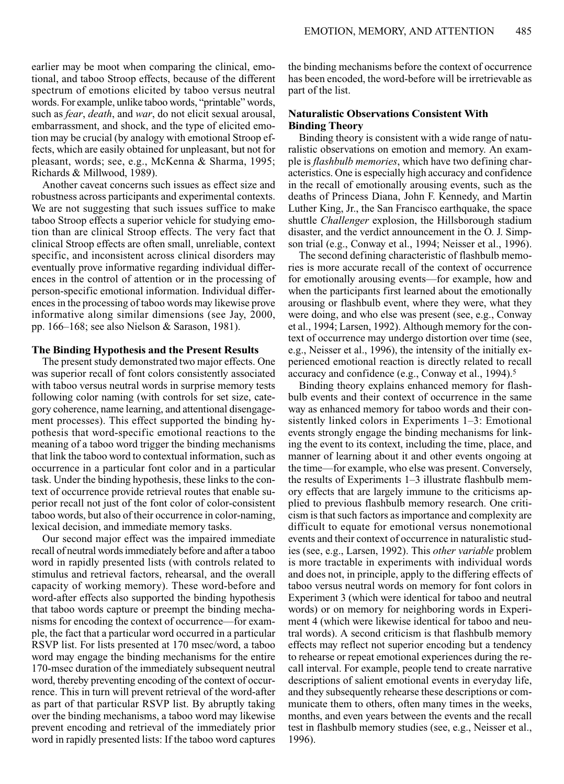earlier may be moot when comparing the clinical, emotional, and taboo Stroop effects, because of the different spectrum of emotions elicited by taboo versus neutral words. For example, unlike taboo words, "printable" words, such as *fear*, *death*, and *war*, do not elicit sexual arousal, embarrassment, and shock, and the type of elicited emotion may be crucial (by analogy with emotional Stroop effects, which are easily obtained for unpleasant, but not for pleasant, words; see, e.g., McKenna & Sharma, 1995; Richards & Millwood, 1989).

Another caveat concerns such issues as effect size and robustness across participants and experimental contexts. We are not suggesting that such issues suffice to make taboo Stroop effects a superior vehicle for studying emotion than are clinical Stroop effects. The very fact that clinical Stroop effects are often small, unreliable, context specific, and inconsistent across clinical disorders may eventually prove informative regarding individual differences in the control of attention or in the processing of person-specific emotional information. Individual differences in the processing of taboo words may likewise prove informative along similar dimensions (see Jay, 2000, pp. 166–168; see also Nielson & Sarason, 1981).

## **The Binding Hypothesis and the Present Results**

The present study demonstrated two major effects. One was superior recall of font colors consistently associated with taboo versus neutral words in surprise memory tests following color naming (with controls for set size, category coherence, name learning, and attentional disengagement processes). This effect supported the binding hypothesis that word-specific emotional reactions to the meaning of a taboo word trigger the binding mechanisms that link the taboo word to contextual information, such as occurrence in a particular font color and in a particular task. Under the binding hypothesis, these links to the context of occurrence provide retrieval routes that enable superior recall not just of the font color of color-consistent taboo words, but also of their occurrence in color-naming, lexical decision, and immediate memory tasks.

Our second major effect was the impaired immediate recall of neutral words immediately before and after a taboo word in rapidly presented lists (with controls related to stimulus and retrieval factors, rehearsal, and the overall capacity of working memory). These word-before and word-after effects also supported the binding hypothesis that taboo words capture or preempt the binding mechanisms for encoding the context of occurrence—for example, the fact that a particular word occurred in a particular RSVP list. For lists presented at 170 msec/word, a taboo word may engage the binding mechanisms for the entire 170-msec duration of the immediately subsequent neutral word, thereby preventing encoding of the context of occurrence. This in turn will prevent retrieval of the word-after as part of that particular RSVP list. By abruptly taking over the binding mechanisms, a taboo word may likewise prevent encoding and retrieval of the immediately prior word in rapidly presented lists: If the taboo word captures

the binding mechanisms before the context of occurrence has been encoded, the word-before will be irretrievable as part of the list.

# **Naturalistic Observations Consistent With Binding Theory**

Binding theory is consistent with a wide range of naturalistic observations on emotion and memory. An example is *flashbulb memories*, which have two defining characteristics. One is especially high accuracy and confidence in the recall of emotionally arousing events, such as the deaths of Princess Diana, John F. Kennedy, and Martin Luther King, Jr., the San Francisco earthquake, the space shuttle *Challenger* explosion, the Hillsborough stadium disaster, and the verdict announcement in the O. J. Simpson trial (e.g., Conway et al., 1994; Neisser et al., 1996).

The second defining characteristic of flashbulb memories is more accurate recall of the context of occurrence for emotionally arousing events—for example, how and when the participants first learned about the emotionally arousing or flashbulb event, where they were, what they were doing, and who else was present (see, e.g., Conway et al., 1994; Larsen, 1992). Although memory for the context of occurrence may undergo distortion over time (see, e.g., Neisser et al., 1996), the intensity of the initially experienced emotional reaction is directly related to recall accuracy and confidence (e.g., Conway et al., 1994).5

Binding theory explains enhanced memory for flashbulb events and their context of occurrence in the same way as enhanced memory for taboo words and their consistently linked colors in Experiments 1–3: Emotional events strongly engage the binding mechanisms for linking the event to its context, including the time, place, and manner of learning about it and other events ongoing at the time—for example, who else was present. Conversely, the results of Experiments 1–3 illustrate flashbulb memory effects that are largely immune to the criticisms applied to previous flashbulb memory research. One criticism is that such factors as importance and complexity are difficult to equate for emotional versus nonemotional events and their context of occurrence in naturalistic studies (see, e.g., Larsen, 1992). This *other variable* problem is more tractable in experiments with individual words and does not, in principle, apply to the differing effects of taboo versus neutral words on memory for font colors in Experiment 3 (which were identical for taboo and neutral words) or on memory for neighboring words in Experiment 4 (which were likewise identical for taboo and neutral words). A second criticism is that flashbulb memory effects may reflect not superior encoding but a tendency to rehearse or repeat emotional experiences during the recall interval. For example, people tend to create narrative descriptions of salient emotional events in everyday life, and they subsequently rehearse these descriptions or communicate them to others, often many times in the weeks, months, and even years between the events and the recall test in flashbulb memory studies (see, e.g., Neisser et al., 1996).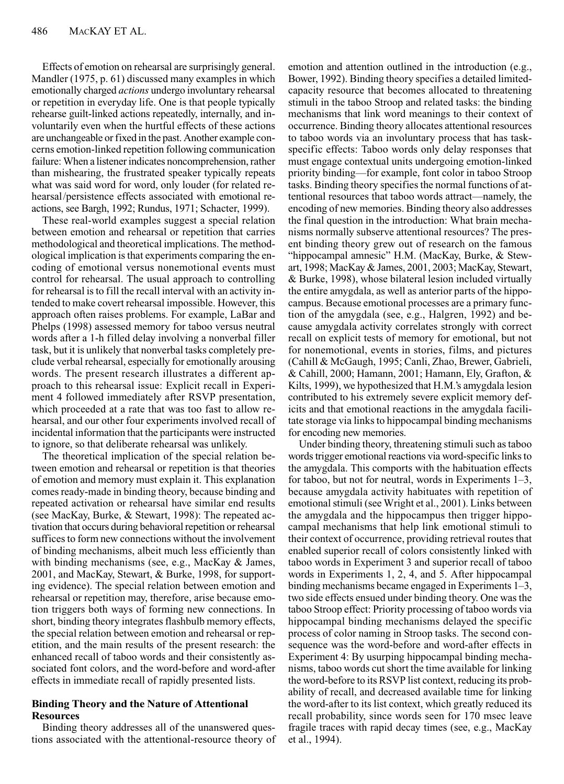Effects of emotion on rehearsal are surprisingly general. Mandler (1975, p. 61) discussed many examples in which emotionally charged *actions* undergo involuntary rehearsal or repetition in everyday life. One is that people typically rehearse guilt-linked actions repeatedly, internally, and involuntarily even when the hurtful effects of these actions are unchangeable or fixed in the past. Another example concerns emotion-linked repetition following communication failure: When a listener indicates noncomprehension, rather than mishearing, the frustrated speaker typically repeats what was said word for word, only louder (for related rehearsal/persistence effects associated with emotional reactions, see Bargh, 1992; Rundus, 1971; Schacter, 1999).

These real-world examples suggest a special relation between emotion and rehearsal or repetition that carries methodological and theoretical implications. The methodological implication is that experiments comparing the encoding of emotional versus nonemotional events must control for rehearsal. The usual approach to controlling for rehearsal is to fill the recall interval with an activity intended to make covert rehearsal impossible. However, this approach often raises problems. For example, LaBar and Phelps (1998) assessed memory for taboo versus neutral words after a 1-h filled delay involving a nonverbal filler task, but it is unlikely that nonverbal tasks completely preclude verbal rehearsal, especially for emotionally arousing words. The present research illustrates a different approach to this rehearsal issue: Explicit recall in Experiment 4 followed immediately after RSVP presentation, which proceeded at a rate that was too fast to allow rehearsal, and our other four experiments involved recall of incidental information that the participants were instructed to ignore, so that deliberate rehearsal was unlikely.

The theoretical implication of the special relation between emotion and rehearsal or repetition is that theories of emotion and memory must explain it. This explanation comes ready-made in binding theory, because binding and repeated activation or rehearsal have similar end results (see MacKay, Burke, & Stewart, 1998): The repeated activation that occurs during behavioral repetition or rehearsal suffices to form new connections without the involvement of binding mechanisms, albeit much less efficiently than with binding mechanisms (see, e.g., MacKay & James, 2001, and MacKay, Stewart, & Burke, 1998, for supporting evidence). The special relation between emotion and rehearsal or repetition may, therefore, arise because emotion triggers both ways of forming new connections. In short, binding theory integrates flashbulb memory effects, the special relation between emotion and rehearsal or repetition, and the main results of the present research: the enhanced recall of taboo words and their consistently associated font colors, and the word-before and word-after effects in immediate recall of rapidly presented lists.

## **Binding Theory and the Nature of Attentional Resources**

Binding theory addresses all of the unanswered questions associated with the attentional-resource theory of emotion and attention outlined in the introduction (e.g., Bower, 1992). Binding theory specifies a detailed limitedcapacity resource that becomes allocated to threatening stimuli in the taboo Stroop and related tasks: the binding mechanisms that link word meanings to their context of occurrence. Binding theory allocates attentional resources to taboo words via an involuntary process that has taskspecific effects: Taboo words only delay responses that must engage contextual units undergoing emotion-linked priority binding—for example, font color in taboo Stroop tasks. Binding theory specifies the normal functions of attentional resources that taboo words attract—namely, the encoding of new memories. Binding theory also addresses the final question in the introduction: What brain mechanisms normally subserve attentional resources? The present binding theory grew out of research on the famous "hippocampal amnesic" H.M. (MacKay, Burke, & Stewart, 1998; MacKay & James, 2001, 2003; MacKay, Stewart, & Burke, 1998), whose bilateral lesion included virtually the entire amygdala, as well as anterior parts of the hippocampus. Because emotional processes are a primary function of the amygdala (see, e.g., Halgren, 1992) and because amygdala activity correlates strongly with correct recall on explicit tests of memory for emotional, but not for nonemotional, events in stories, films, and pictures (Cahill & McGaugh, 1995; Canli, Zhao, Brewer, Gabrieli, & Cahill, 2000; Hamann, 2001; Hamann, Ely, Grafton, & Kilts, 1999), we hypothesized that H.M.'s amygdala lesion contributed to his extremely severe explicit memory deficits and that emotional reactions in the amygdala facilitate storage via links to hippocampal binding mechanisms for encoding new memories.

Under binding theory, threatening stimuli such as taboo words trigger emotional reactions via word-specific links to the amygdala. This comports with the habituation effects for taboo, but not for neutral, words in Experiments 1–3, because amygdala activity habituates with repetition of emotional stimuli (see Wright et al., 2001). Links between the amygdala and the hippocampus then trigger hippocampal mechanisms that help link emotional stimuli to their context of occurrence, providing retrieval routes that enabled superior recall of colors consistently linked with taboo words in Experiment 3 and superior recall of taboo words in Experiments 1, 2, 4, and 5. After hippocampal binding mechanisms became engaged in Experiments 1–3, two side effects ensued under binding theory. One was the taboo Stroop effect: Priority processing of taboo words via hippocampal binding mechanisms delayed the specific process of color naming in Stroop tasks. The second consequence was the word-before and word-after effects in Experiment 4: By usurping hippocampal binding mechanisms, taboo words cut short the time available for linking the word-before to its RSVP list context, reducing its probability of recall, and decreased available time for linking the word-after to its list context, which greatly reduced its recall probability, since words seen for 170 msec leave fragile traces with rapid decay times (see, e.g., MacKay et al., 1994).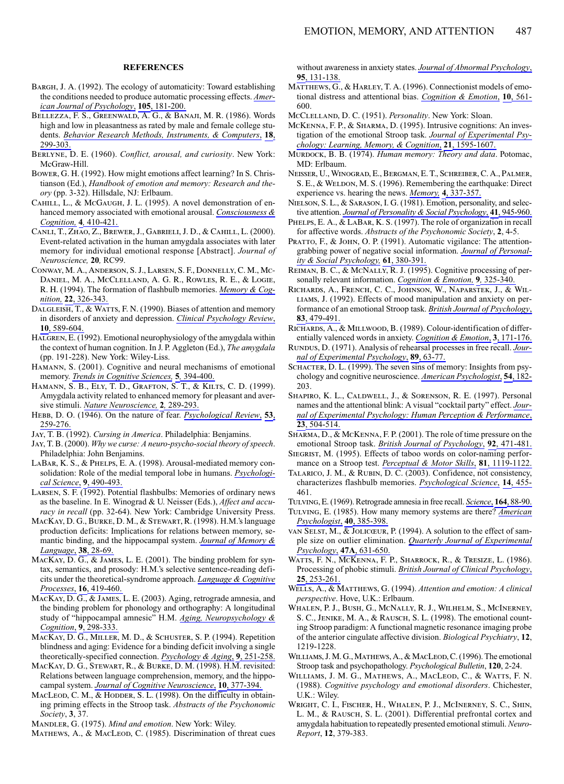#### **REFERENCES**

- Bargh, J. A. (1992). The ecology of automaticity: Toward establishing the conditions needed to produce automatic processing effects. *American Journal of Psychology*, **105**, 181-200.
- Bellezza, F. S., Greenwald, A. G., & Banaji, M. R. (1986). Words high and low in pleasantness as rated by male and female college students. *Behavior Research Methods, Instruments, & Computers*, **18**, 299-303.
- Berlyne, D. E. (1960). *Conflict, arousal, and curiosity*. New York: McGraw-Hill.
- Bower, G. H. (1992). How might emotions affect learning? In S. Christianson (Ed.), *Handbook of emotion and memory: Research and theory* (pp. 3-32). Hillsdale, NJ: Erlbaum.
- Cahill, L., & McGaugh, J. L. (1995). A novel demonstration of enhanced memory associated with emotional arousal. *Consciousness & Cognition,* **4***,* 410-421.
- Canli, T., Zhao, Z., Brewer, J., Gabrieli, J. D., & Cahill, L. (2000). Event-related activation in the human amygdala associates with later memory for individual emotional response [Abstract]. *Journal of Neuroscience,* **20***,* RC99.
- Conway, M. A., Anderson, S. J., Larsen, S. F., Donnelly, C. M., Mc-Daniel, M. A., McClelland, A. G. R., Rowles, R. E., & Logie, R. H. (1994). The formation of flashbulb memories. *Memory & Cognition,* **22**, 326-343.
- DALGLEISH, T., & WATTS, F. N. (1990). Biases of attention and memory in disorders of anxiety and depression. *Clinical Psychology Review*, **10**, 589-604.
- HALGREN, E. (1992). Emotional neurophysiology of the amygdala within the context of human cognition. In J. P. Aggleton (Ed.), *The amygdala* (pp. 191-228). New York: Wiley-Liss.
- Hamann, S. (2001). Cognitive and neural mechanisms of emotional memory. *Trends in Cognitive Sciences,* **5***,* 394-400.
- Hamann, S. B., Ely, T. D., Grafton, S. T., & Kilts, C. D. (1999). Amygdala activity related to enhanced memory for pleasant and aversive stimuli. *Nature Neuroscience,* **2***,* 289-293.
- HEBB, D. O. (1946). On the nature of fear. *Psychological Review*, 53, 259-276.
- Jay, T. B. (1992). *Cursing in America*. Philadelphia: Benjamins.
- Jay, T. B. (2000). *Why we curse: A neuro-psycho-social theory of speech*. Philadelphia: John Benjamins.
- LABAR, K. S., & PHELPS, E. A. (1998). Arousal-mediated memory consolidation: Role of the medial temporal lobe in humans. *Psychological Science*, **9**, 490-493.
- LARSEN, S. F. (1992). Potential flashbulbs: Memories of ordinary news as the baseline. In E. Winograd & U. Neisser (Eds.), *Affect and accuracy in recall* (pp. 32-64). New York: Cambridge University Press.
- MacKay, D. G., Burke, D. M., & Stewart, R. (1998). H.M.'s language production deficits: Implications for relations between memory, semantic binding, and the hippocampal system. *Journal of Memory & Language*, **38**, 28-69.
- MacKay, D. G., & James, L. E. (2001). The binding problem for syntax, semantics, and prosody: H.M.'s selective sentence-reading deficits under the theoretical-syndrome approach. *Language & Cognitive Processes*, **16**, 419-460.
- MACKAY, D. G., & JAMES, L. E. (2003). Aging, retrograde amnesia, and the binding problem for phonology and orthography: A longitudinal study of "hippocampal amnesic" H.M. *Aging, Neuropsychology & Cognition*, **9**, 298-333.
- MACKAY, D. G., MILLER, M. D., & SCHUSTER, S. P. (1994). Repetition blindness and aging: Evidence for a binding deficit involving a single theoretically-specified connection. *Psychology & Aging*, **9**, 251-258.
- MacKay, D. G., Stewart, R., & Burke, D. M. (1998). H.M. revisited: Relations between language comprehension, memory, and the hippocampal system. *Journal of Cognitive Neuroscience*, **10**, 377-394.
- MACLEOD, C. M., & HODDER, S. L. (1998). On the difficulty in obtaining priming effects in the Stroop task. *Abstracts of the Psychonomic Society*, **3**, 37.

MANDLER, G. (1975). *Mind and emotion*. New York: Wiley.

without awareness in anxiety states. *Journal of Abnormal Psychology*, **95**, 131-138.

- MATTHEWS, G., & HARLEY, T. A. (1996). Connectionist models of emotional distress and attentional bias. *Cognition & Emotion*, **10**, 561- 600.
- McClelland, D. C. (1951). *Personality*. New York: Sloan.
- McKenna, F. P., & Sharma, D. (1995). Intrusive cognitions: An investigation of the emotional Stroop task. *Journal of Experimental Psychology: Learning, Memory, & Cognition*, **21**, 1595-1607.
- Murdock, B. B. (1974). *Human memory: Theory and data*. Potomac, MD: Erlbaum.
- Neisser, U., Winograd, E., Bergman, E. T., Schreiber, C. A., Palmer, S. E., & WELDON, M. S. (1996). Remembering the earthquake: Direct experience vs. hearing the news. *Memory,* **4**, 337-357.
- NIELSON, S. L., & SARASON, I. G. (1981). Emotion, personality, and selective attention. *Journal of Personality & Social Psychology*, **41**, 945-960.
- PHELPS, E. A., & LABAR, K. S. (1997). The role of organization in recall for affective words. *Abstracts of the Psychonomic Society*, **2**, 4-5.
- PRATTO, F., & JOHN, O. P. (1991). Automatic vigilance: The attentiongrabbing power of negative social information. *Journal of Personality & Social Psychology,* **61**, 380-391.
- Reiman, B. C., & McNally, R. J. (1995). Cognitive processing of personally relevant information. *Cognition & Emotion,* **9***,* 325-340.
- Richards, A., French, C. C., Johnson, W., Naparstek, J., & Wil-LIAMS, J. (1992). Effects of mood manipulation and anxiety on performance of an emotional Stroop task. *British Journal of Psychology*, **83**, 479-491.
- RICHARDS, A., & MILLWOOD, B. (1989). Colour-identification of differentially valenced words in anxiety. *Cognition & Emotion*, **3**, 171-176.
- Rundus, D. (1971). Analysis of rehearsal processes in free recall. *Journal of Experimental Psychology*, **89**, 63-77.
- SCHACTER, D. L. (1999). The seven sins of memory: Insights from psychology and cognitive neuroscience. *American Psychologist*, **54**, 182- 203.
- Shapiro, K. L., Caldwell, J., & Sorenson, R. E. (1997). Personal names and the attentional blink: A visual "cocktail party" effect. *Journal of Experimental Psychology: Human Perception & Performance*, **23**, 504-514.
- Sharma, D., & McKenna, F. P. (2001). The role of time pressure on the emotional Stroop task. *British Journal of Psychology*, **92**, 471-481.
- SIEGRIST, M. (1995). Effects of taboo words on color-naming performance on a Stroop test. *Perceptual & Motor Skills*, **81**, 1119-1122.
- Talarico, J. M., & Rubin, D. C. (2003). Confidence, not consistency, characterizes flashbulb memories. *Psychological Science*, **14**, 455- 461.
- Tulving, E. (1969). Retrograde amnesia in free recall. *Science*, **164**, 88-90.
- Tulving, E. (1985). How many memory systems are there? *American Psychologist*, **40**, 385-398.
- van SELST, M.,  $\overline{\&}$  JOLICŒUR, P. (1994). A solution to the effect of sample size on outlier elimination. *Quarterly Journal of Experimental Psychology*, **47A**, 631-650.
- Watts, F. N., McKenna, F. P., Sharrock, R., & Tresize, L. (1986). Processing of phobic stimuli. *British Journal of Clinical Psychology*, **25**, 253-261.
- Wells, A., & Matthews, G. (1994). *Attention and emotion: A clinical perspective*. Hove, U.K.: Erlbaum.
- Whalen, P. J., Bush, G., McNally, R. J., Wilhelm, S., McInerney, S. C., JENIKE, M. A., & RAUSCH, S. L. (1998). The emotional counting Stroop paradigm: A functional magnetic resonance imaging probe of the anterior cingulate affective division. *Biological Psychiatry*, **12**, 1219-1228.
- WILLIAMS, J. M. G., MATHEWS, A., & MACLEOD, C. (1996). The emotional Stroop task and psychopathology. *Psychological Bulletin*, **120**, 2-24.
- Williams, J. M. G., Mathews, A., MacLeod, C., & Watts, F. N. (1988). *Cognitive psychology and emotional disorders*. Chichester, U.K.: Wiley.
- Wright, C. I., Fischer, H., Whalen, P. J., McInerney, S. C., Shin, L. M., & RAUSCH, S. L. (2001). Differential prefrontal cortex and amygdala habituation to repeatedly presented emotional stimuli. *Neuro-Report*, **12**, 379-383.

MATHEWS, A., & MACLEOD, C. (1985). Discrimination of threat cues